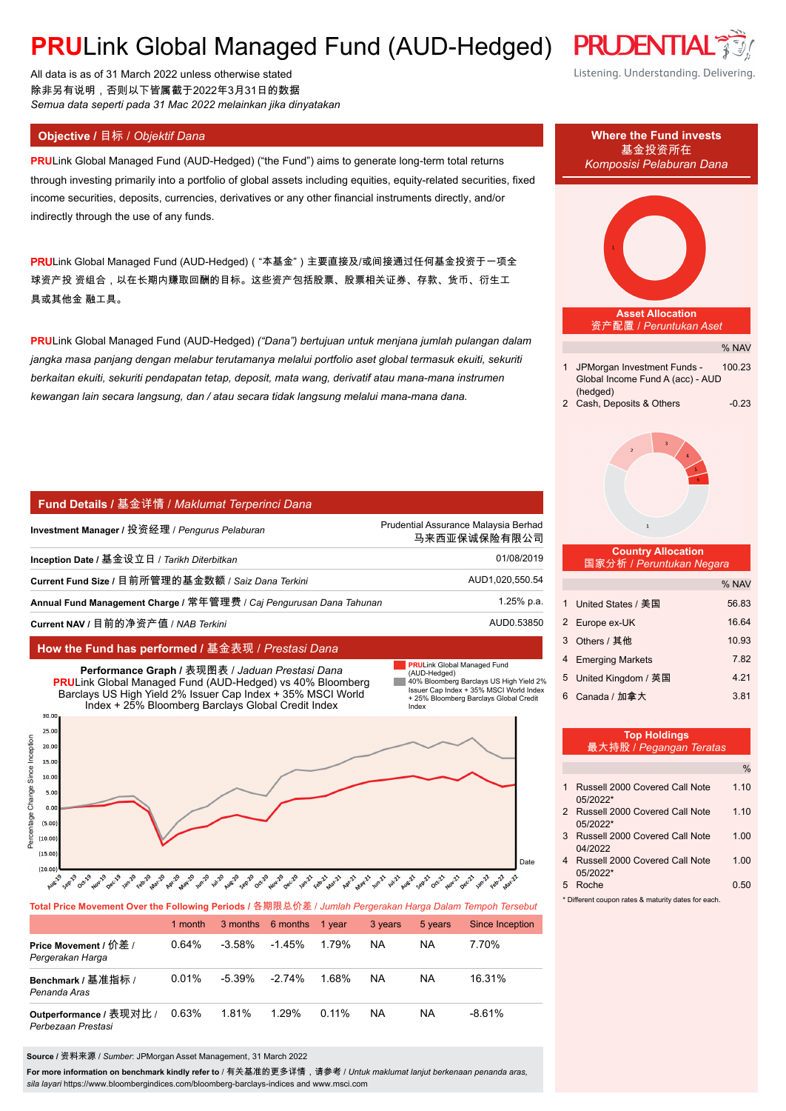# **PRULink Global Managed Fund (AUD-Hedged) PRUDENTIA**

All data is as of 31 March 2022 unless otherwise stated 除非另有说明,否则以下皆属截于2022年3月31日的数据 *Semua data seperti pada 31 Mac 2022 melainkan jika dinyatakan*

**PRU**Link Global Managed Fund (AUD-Hedged) ("the Fund") aims to generate long-term total returns through investing primarily into a portfolio of global assets including equities, equity-related securities, fixed income securities, deposits, currencies, derivatives or any other financial instruments directly, and/or indirectly through the use of any funds.

PRULink Global Managed Fund (AUD-Hedged)( "本基金")主要直接及/或间接通过任何基金投资于一项全 球资产投 资组合,以在长期内赚取回酬的目标。这些资产包括股票、股票相关证券、存款、货币、衍生工 具或其他金 融工具。

**PRU**Link Global Managed Fund (AUD-Hedged) *("Dana") bertujuan untuk menjana jumlah pulangan dalam jangka masa panjang dengan melabur terutamanya melalui portfolio aset global termasuk ekuiti, sekuriti berkaitan ekuiti, sekuriti pendapatan tetap, deposit, mata wang, derivatif atau mana-mana instrumen kewangan lain secara langsung, dan / atau secara tidak langsung melalui mana-mana dana.*

### **Fund Details /** 基金详情 / *Maklumat Terperinci Dana*

| Investment Manager / 投资经理 / <i>Penqurus Pelaburan</i>               | Prudential Assurance Malaysia Berhad<br>马来西亚保诚保险有限公司 |
|---------------------------------------------------------------------|------------------------------------------------------|
| Inception Date / 基金设立日 / Tarikh Diterbitkan                         | 01/08/2019                                           |
| Current Fund Size / 目前所管理的基金数额 / Saiz Dana Terkini                  | AUD1,020,550.54                                      |
| Annual Fund Management Charge / 常年管理费 / Caj Pengurusan Dana Tahunan | 1.25% p.a.                                           |
| Current NAV / 目前的净资产值 / NAB Terkini                                 | AUD0.53850                                           |

### **How the Fund has performed /** 基金表现 / *Prestasi Dana*



|                                               | 1 month |           | 3 months 6 months | 1 vear   | 3 years   | 5 years   | Since Inception |
|-----------------------------------------------|---------|-----------|-------------------|----------|-----------|-----------|-----------------|
| Price Movement / 价差 /<br>Pergerakan Harga     | 0.64%   | $-3.58\%$ | $-1.45%$          | 1.79%    | <b>NA</b> | <b>NA</b> | 7.70%           |
| Benchmark / 基准指标 /<br>Penanda Aras            | 0.01%   | $-5.39\%$ | $-2.74\%$         | 1.68%    | <b>NA</b> | <b>NA</b> | 16.31%          |
| Outperformance / 表现对比 /<br>Perbezaan Prestasi | 0.63%   | 1.81%     | 1.29%             | $0.11\%$ | <b>NA</b> | <b>NA</b> | $-8.61%$        |

**Source /** 资料来源 / *Sumber*: JPMorgan Asset Management, 31 March 2022

**For more information on benchmark kindly refer to** / 有关基准的更多详情,请参考 / *Untuk maklumat lanjut berkenaan penanda aras, sila layari* https://www.bloombergindices.com/bloomberg-barclays-indices and www.msci.com

# Listening. Understanding. Delivering. **Objective /** 目标 / *Objektif Dana* **Where the Fund invests** 基金投资所在 *Komposisi Pelaburan Dana* **Asset Allocation** 资产配置 / *Peruntukan Aset* % NAV 1 JPMorgan Investment Funds - 100.23 Global Income Fund A (acc) - AUD (hedged) 2 Cash, Deposits & Others -0.23  **Country Allocation** 国家分析 / *Peruntukan Negara* % NAV 1 United States / 美国 56.83 2 Europe ex-UK 16.64 3 Others / 其他 10.93 4 Emerging Markets 7.82 5 United Kingdom / 英国 4.21

|   |   | <b>Top Holdings</b><br>最大持股 / Pegangan Teratas |               |
|---|---|------------------------------------------------|---------------|
|   |   |                                                | $\frac{0}{0}$ |
|   | 1 | Russell 2000 Covered Call Note<br>05/2022*     | 1.10          |
|   |   | 2 Russell 2000 Covered Call Note<br>05/2022*   | 1.10          |
|   | 3 | Russell 2000 Covered Call Note<br>04/2022      | 1.00          |
| e | 4 | Russell 2000 Covered Call Note<br>05/2022*     | 1.00          |
|   | 5 | Roche                                          | 0.50          |

6 Canada / 加拿大 3.81

Different coupon rates & maturity dates for each

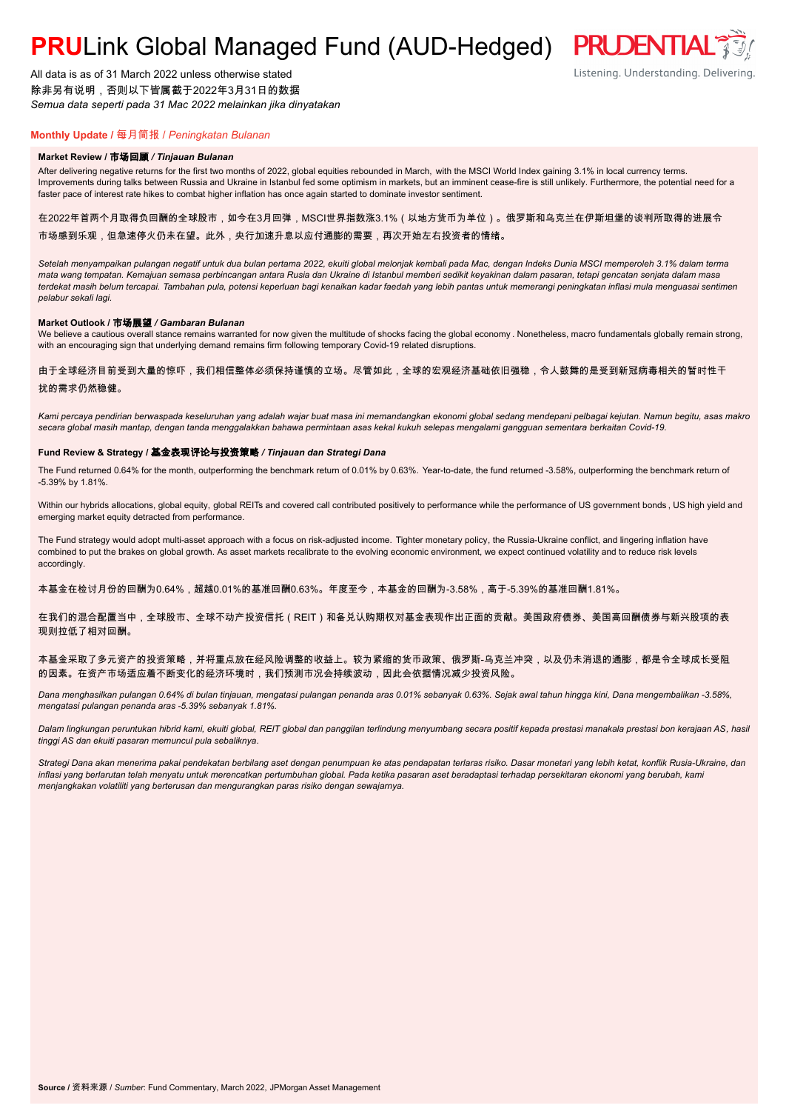# **PRULink Global Managed Fund (AUD-Hedged) PRUDENTIAL**

All data is as of 31 March 2022 unless otherwise stated 除非另有说明,否则以下皆属截于2022年3月31日的数据 *Semua data seperti pada 31 Mac 2022 melainkan jika dinyatakan*

## **Monthly Update /** 每月简报 / *Peningkatan Bulanan*

#### **Market Review /** 市场回顾 */ Tinjauan Bulanan*

After delivering negative returns for the first two months of 2022, global equities rebounded in March, with the MSCI World Index gaining 3.1% in local currency terms. Improvements during talks between Russia and Ukraine in Istanbul fed some optimism in markets, but an imminent cease-fire is still unlikely. Furthermore, the potential need for a faster pace of interest rate hikes to combat higher inflation has once again started to dominate investor sentiment.

在2022年首两个月取得负回酬的全球股市,如今在3月回弹,MSCI世界指数涨3.1%(以地方货币为单位)。俄罗斯和乌克兰在伊斯坦堡的谈判所取得的进展令 市场感到乐观,但急速停火仍未在望。此外,央行加速升息以应付通膨的需要,再次开始左右投资者的情绪。

*Setelah menyampaikan pulangan negatif untuk dua bulan pertama 2022, ekuiti global melonjak kembali pada Mac, dengan Indeks Dunia MSCI memperoleh 3.1% dalam terma mata wang tempatan. Kemajuan semasa perbincangan antara Rusia dan Ukraine di Istanbul memberi sedikit keyakinan dalam pasaran, tetapi gencatan senjata dalam masa terdekat masih belum tercapai. Tambahan pula, potensi keperluan bagi kenaikan kadar faedah yang lebih pantas untuk memerangi peningkatan inflasi mula menguasai sentimen pelabur sekali lagi.*

#### **Market Outlook /** 市场展望 */ Gambaran Bulanan*

We believe a cautious overall stance remains warranted for now given the multitude of shocks facing the global economy . Nonetheless, macro fundamentals globally remain strong, with an encouraging sign that underlying demand remains firm following temporary Covid-19 related disruptions.

### 由于全球经济目前受到大量的惊吓,我们相信整体必须保持谨慎的立场。尽管如此,全球的宏观经济基础依旧强稳,令人鼓舞的是受到新冠病毒相关的暂时性干 扰的需求仍然稳健。

*Kami percaya pendirian berwaspada keseluruhan yang adalah wajar buat masa ini memandangkan ekonomi global sedang mendepani pelbagai kejutan. Namun begitu, asas makro secara global masih mantap, dengan tanda menggalakkan bahawa permintaan asas kekal kukuh selepas mengalami gangguan sementara berkaitan Covid-19.*

#### **Fund Review & Strategy /** 基金表现评论与投资策略 */ Tinjauan dan Strategi Dana*

The Fund returned 0.64% for the month, outperforming the benchmark return of 0.01% by 0.63%. Year-to-date, the fund returned -3.58%, outperforming the benchmark return of -5.39% by 1.81%.

Within our hybrids allocations, global equity, global REITs and covered call contributed positively to performance while the performance of US government bonds , US high yield and emerging market equity detracted from performance.

The Fund strategy would adopt multi-asset approach with a focus on risk-adjusted income. Tighter monetary policy, the Russia-Ukraine conflict, and lingering inflation have combined to put the brakes on global growth. As asset markets recalibrate to the evolving economic environment, we expect continued volatility and to reduce risk levels accordingly.

本基金在检讨月份的回酬为0.64%,超越0.01%的基准回酬0.63%。年度至今,本基金的回酬为-3.58%,高于-5.39%的基准回酬1.81%。

在我们的混合配置当中,全球股市、全球不动产投资信托(REIT)和备兑认购期权对基金表现作出正面的贡献。美国政府债券、美国高回酬债券与新兴股项的表 现则拉低了相对回酬。

### 本基金采取了多元资产的投资策略,并将重点放在经风险调整的收益上。较为紧缩的货币政策、俄罗斯-乌克兰冲突,以及仍未消退的通膨,都是令全球成长受阻 的因素。在资产市场适应着不断变化的经济环境时,我们预测市况会持续波动,因此会依据情况减少投资风险。

*Dana menghasilkan pulangan 0.64% di bulan tinjauan, mengatasi pulangan penanda aras 0.01% sebanyak 0.63%. Sejak awal tahun hingga kini, Dana mengembalikan -3.58%, mengatasi pulangan penanda aras -5.39% sebanyak 1.81%.*

*Dalam lingkungan peruntukan hibrid kami, ekuiti global, REIT global dan panggilan terlindung menyumbang secara positif kepada prestasi manakala prestasi bon kerajaan AS, hasil tinggi AS dan ekuiti pasaran memuncul pula sebaliknya.*

*Strategi Dana akan menerima pakai pendekatan berbilang aset dengan penumpuan ke atas pendapatan terlaras risiko. Dasar monetari yang lebih ketat, konflik Rusia-Ukraine, dan inflasi yang berlarutan telah menyatu untuk merencatkan pertumbuhan global. Pada ketika pasaran aset beradaptasi terhadap persekitaran ekonomi yang berubah, kami menjangkakan volatiliti yang berterusan dan mengurangkan paras risiko dengan sewajarnya.*